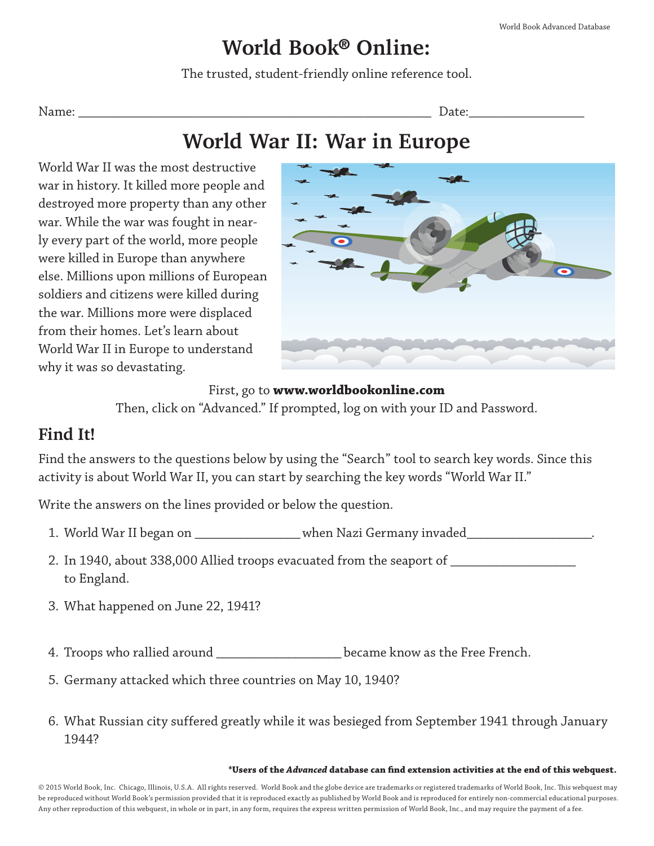## **World Book**® **Online:**

The trusted, student-friendly online reference tool.

Name: \_\_\_\_\_\_\_\_\_\_\_\_\_\_\_\_\_\_\_\_\_\_\_\_\_\_\_\_\_\_\_\_\_\_\_\_\_\_\_\_\_\_\_\_\_\_\_\_\_\_\_\_ Date:\_\_\_\_\_\_\_\_\_\_\_\_\_\_\_\_\_

## **World War II: War in Europe**

World War II was the most destructive war in history. It killed more people and destroyed more property than any other war. While the war was fought in nearly every part of the world, more people were killed in Europe than anywhere else. Millions upon millions of European soldiers and citizens were killed during the war. Millions more were displaced from their homes. Let's learn about World War II in Europe to understand why it was so devastating.



#### First, go to **www.worldbookonline.com**

Then, click on "Advanced." If prompted, log on with your ID and Password.

### **Find It!**

Find the answers to the questions below by using the "Search" tool to search key words. Since this activity is about World War II, you can start by searching the key words "World War II."

Write the answers on the lines provided or below the question.

- 1. World War II began on \_\_\_\_\_\_\_\_\_\_\_\_\_\_\_\_\_\_ when Nazi Germany invaded\_\_\_\_\_\_\_\_\_\_\_
- 2. In 1940, about 338,000 Allied troops evacuated from the seaport of \_\_\_\_\_\_\_\_\_\_\_\_\_\_\_\_\_ to England.
- 3. What happened on June 22, 1941?
- 4. Troops who rallied around **EXEC EXECUTE:** became know as the Free French.
- 5. Germany attacked which three countries on May 10, 1940?
- 6. What Russian city suffered greatly while it was besieged from September 1941 through January 1944?

#### **\*Users of the** *Advanced* **database can find extension activities at the end of this webquest.**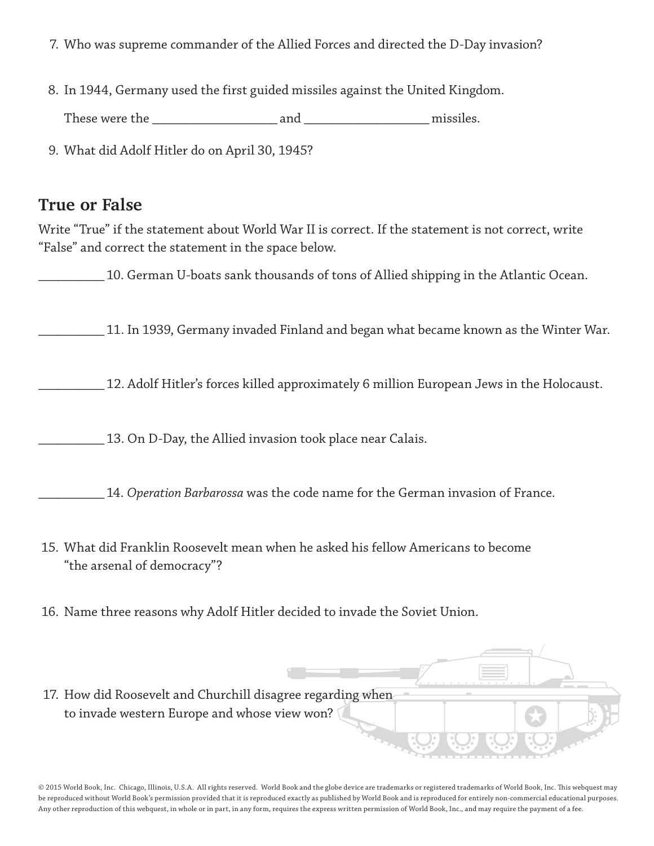- 7. Who was supreme commander of the Allied Forces and directed the D-Day invasion?
- 8. In 1944, Germany used the first guided missiles against the United Kingdom.

These were the \_\_\_\_\_\_\_\_\_\_\_\_\_\_\_\_\_\_\_ and \_\_\_\_\_\_\_\_\_\_\_\_\_\_\_\_\_\_\_ missiles.

9. What did Adolf Hitler do on April 30, 1945?

#### **True or False**

Write "True" if the statement about World War II is correct. If the statement is not correct, write "False" and correct the statement in the space below.

10. German U-boats sank thousands of tons of Allied shipping in the Atlantic Ocean.

\_\_\_\_\_\_\_\_\_\_ 11. In 1939, Germany invaded Finland and began what became known as the Winter War.

\_\_\_\_\_\_\_\_\_\_ 12. Adolf Hitler's forces killed approximately 6 million European Jews in the Holocaust.

\_\_\_\_\_\_\_\_\_\_ 13. On D-Day, the Allied invasion took place near Calais.

\_\_\_\_\_\_\_\_\_\_ 14. *Operation Barbarossa* was the code name for the German invasion of France.

- 15. What did Franklin Roosevelt mean when he asked his fellow Americans to become "the arsenal of democracy"?
- 16. Name three reasons why Adolf Hitler decided to invade the Soviet Union.
- 17. How did Roosevelt and Churchill disagree regarding when to invade western Europe and whose view won?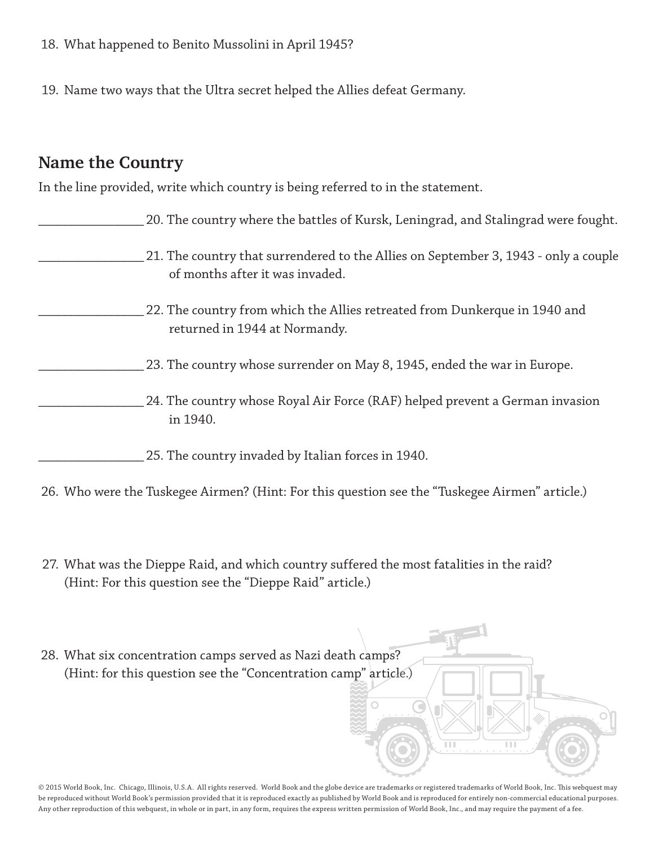- 18. What happened to Benito Mussolini in April 1945?
- 19. Name two ways that the Ultra secret helped the Allies defeat Germany.

#### **Name the Country**

In the line provided, write which country is being referred to in the statement.

| 20. The country where the battles of Kursk, Leningrad, and Stalingrad were fought.                                     |
|------------------------------------------------------------------------------------------------------------------------|
| 21. The country that surrendered to the Allies on September 3, 1943 - only a couple<br>of months after it was invaded. |
| 22. The country from which the Allies retreated from Dunkerque in 1940 and<br>returned in 1944 at Normandy.            |
| 23. The country whose surrender on May 8, 1945, ended the war in Europe.                                               |
| 24. The country whose Royal Air Force (RAF) helped prevent a German invasion<br>in 1940.                               |
| 25. The country invaded by Italian forces in 1940.                                                                     |

26. Who were the Tuskegee Airmen? (Hint: For this question see the "Tuskegee Airmen" article.)

- 27. What was the Dieppe Raid, and which country suffered the most fatalities in the raid? (Hint: For this question see the "Dieppe Raid" article.)
- 28. What six concentration camps served as Nazi death camps? (Hint: for this question see the "Concentration camp" article.) $\mathbb{R}$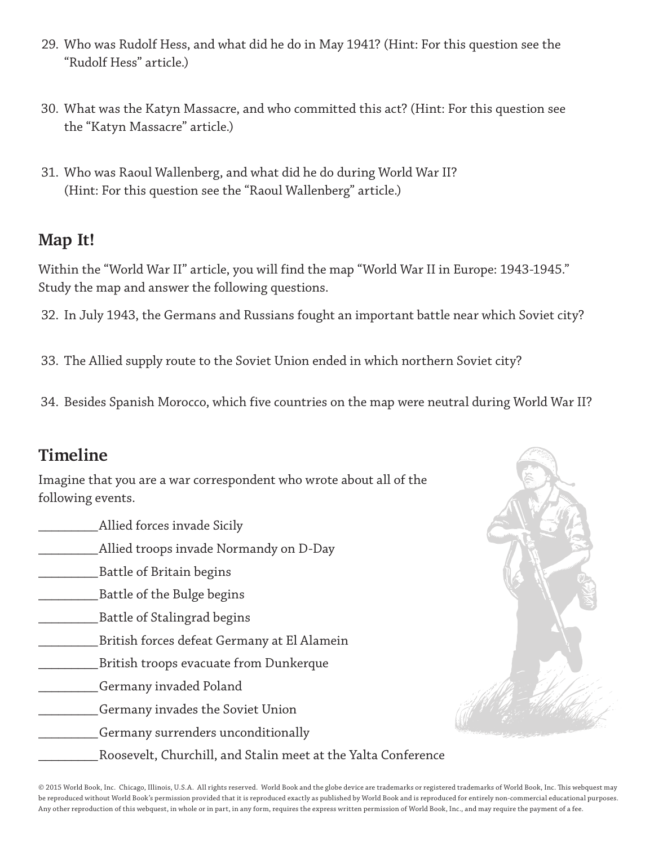- 29. Who was Rudolf Hess, and what did he do in May 1941? (Hint: For this question see the "Rudolf Hess" article.)
- 30. What was the Katyn Massacre, and who committed this act? (Hint: For this question see the "Katyn Massacre" article.)
- 31. Who was Raoul Wallenberg, and what did he do during World War II? (Hint: For this question see the "Raoul Wallenberg" article.)

#### **Map It!**

Within the "World War II" article, you will find the map "World War II in Europe: 1943-1945." Study the map and answer the following questions.

32. In July 1943, the Germans and Russians fought an important battle near which Soviet city?

33. The Allied supply route to the Soviet Union ended in which northern Soviet city?

34. Besides Spanish Morocco, which five countries on the map were neutral during World War II?

## **Timeline**

Imagine that you are a war correspondent who wrote about all of the following events.

\_\_\_\_\_\_\_\_\_ Allied forces invade Sicily \_\_\_\_\_\_\_\_\_ Allied troops invade Normandy on D-Day \_\_\_\_\_\_\_\_\_ Battle of Britain begins \_\_\_\_\_\_\_\_\_ Battle of the Bulge begins \_\_\_\_\_\_\_\_\_ Battle of Stalingrad begins \_\_\_\_\_\_\_\_\_ British forces defeat Germany at El Alamein \_\_\_\_\_\_\_\_\_ British troops evacuate from Dunkerque \_\_\_\_\_\_\_\_\_ Germany invaded Poland

- \_\_\_\_\_\_\_\_\_ Germany invades the Soviet Union
	- \_\_\_\_\_\_\_\_\_ Germany surrenders unconditionally
		- \_\_\_\_\_\_\_\_\_ Roosevelt, Churchill, and Stalin meet at the Yalta Conference

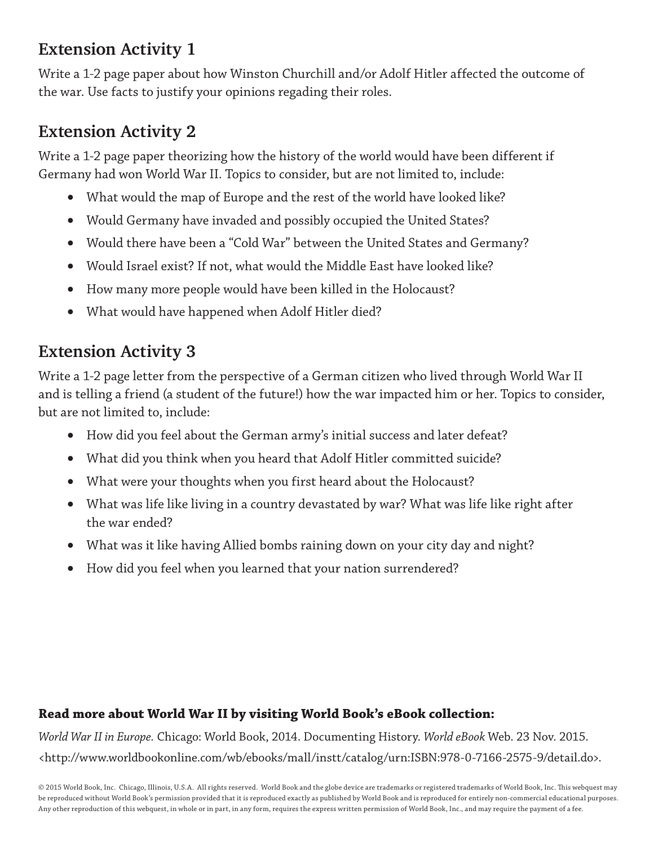## **Extension Activity 1**

Write a 1-2 page paper about how Winston Churchill and/or Adolf Hitler affected the outcome of the war. Use facts to justify your opinions regading their roles.

## **Extension Activity 2**

Write a 1-2 page paper theorizing how the history of the world would have been different if Germany had won World War II. Topics to consider, but are not limited to, include:

- What would the map of Europe and the rest of the world have looked like?
- Would Germany have invaded and possibly occupied the United States?
- Would there have been a "Cold War" between the United States and Germany?
- Would Israel exist? If not, what would the Middle East have looked like?
- • How many more people would have been killed in the Holocaust?
- What would have happened when Adolf Hitler died?

## **Extension Activity 3**

Write a 1-2 page letter from the perspective of a German citizen who lived through World War II and is telling a friend (a student of the future!) how the war impacted him or her. Topics to consider, but are not limited to, include:

- • How did you feel about the German army's initial success and later defeat?
- What did you think when you heard that Adolf Hitler committed suicide?
- What were your thoughts when you first heard about the Holocaust?
- • What was life like living in a country devastated by war? What was life like right after the war ended?
- What was it like having Allied bombs raining down on your city day and night?
- How did you feel when you learned that your nation surrendered?

#### **Read more about World War II by visiting World Book's eBook collection:**

*World War II in Europe.* Chicago: World Book, 2014. Documenting History. *World eBook* Web. 23 Nov. 2015. <http://www.worldbookonline.com/wb/ebooks/mall/instt/catalog/urn:ISBN:978-0-7166-2575-9/detail.do>.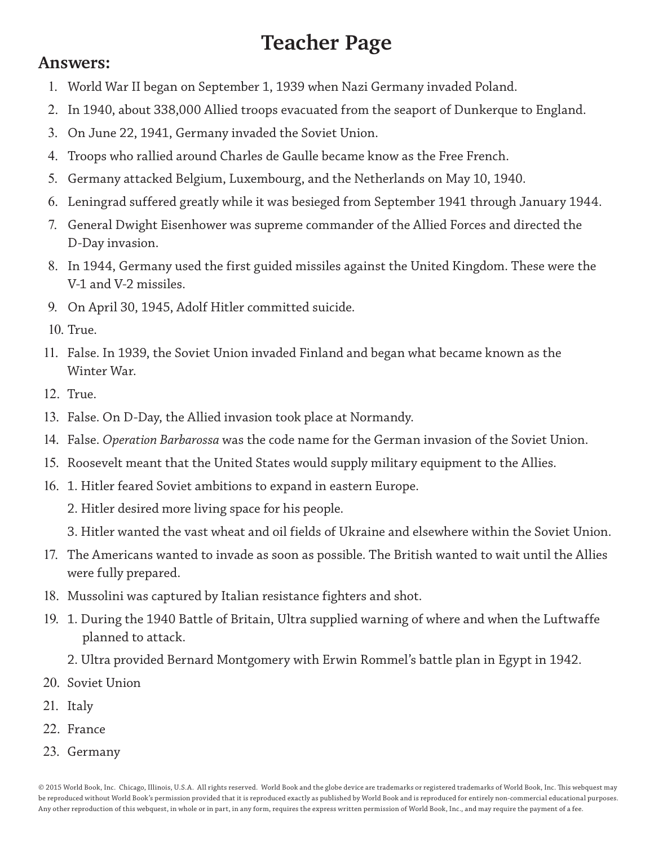# **Teacher Page**

#### **Answers:**

- 1. World War II began on September 1, 1939 when Nazi Germany invaded Poland.
- 2. In 1940, about 338,000 Allied troops evacuated from the seaport of Dunkerque to England.
- 3. On June 22, 1941, Germany invaded the Soviet Union.
- 4. Troops who rallied around Charles de Gaulle became know as the Free French.
- 5. Germany attacked Belgium, Luxembourg, and the Netherlands on May 10, 1940.
- 6. Leningrad suffered greatly while it was besieged from September 1941 through January 1944.
- 7. General Dwight Eisenhower was supreme commander of the Allied Forces and directed the D-Day invasion.
- 8. In 1944, Germany used the first guided missiles against the United Kingdom. These were the V-1 and V-2 missiles.
- 9. On April 30, 1945, Adolf Hitler committed suicide.
- 10. True.
- 11. False. In 1939, the Soviet Union invaded Finland and began what became known as the Winter War.
- 12. True.
- 13. False. On D-Day, the Allied invasion took place at Normandy.
- 14. False. *Operation Barbarossa* was the code name for the German invasion of the Soviet Union.
- 15. Roosevelt meant that the United States would supply military equipment to the Allies.
- 16. 1. Hitler feared Soviet ambitions to expand in eastern Europe.
	- 2. Hitler desired more living space for his people.
	- 3. Hitler wanted the vast wheat and oil fields of Ukraine and elsewhere within the Soviet Union.
- 17. The Americans wanted to invade as soon as possible. The British wanted to wait until the Allies were fully prepared.
- 18. Mussolini was captured by Italian resistance fighters and shot.
- 19. 1. During the 1940 Battle of Britain, Ultra supplied warning of where and when the Luftwaffe planned to attack.
	- 2. Ultra provided Bernard Montgomery with Erwin Rommel's battle plan in Egypt in 1942.
- 20. Soviet Union
- 21. Italy
- 22. France
- 23. Germany